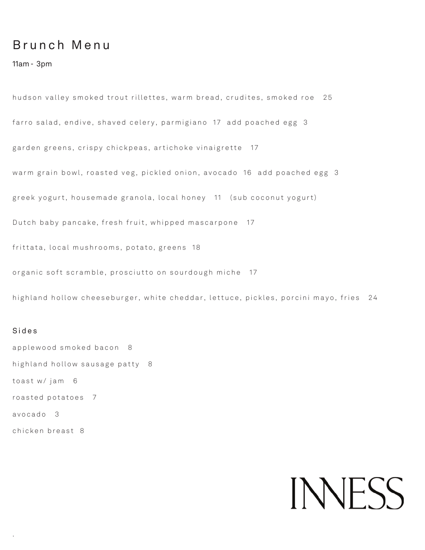## B r u n c h M e n u

11am - 3pm

hudson valley smoked trout rillettes, warm bread, crudites, smoked roe 25 farro salad, endive, shaved celery, parmigiano 17 add poached egg 3 garden greens, crispy chickpeas, artichoke vinaigrette 17 warm grain bowl, roasted veg, pickled onion, avocado 16 add poached egg 3 greek yogurt, housemade granola, local honey 11 (sub coconut yogurt) Dutch baby pancake, fresh fruit, whipped mascarpone 17 frittata, local mushrooms, potato, greens 18 organic soft scramble, prosciutto on sourdough miche 17

highland hollow cheeseburger, white cheddar, lettuce, pickles, porcini mayo, fries 24

#### Sides

.

applewood smoked bacon 8 highland hollow sausage patty 8 toast w/ jam 6 roasted potatoes 7 avocado 3 chicken breast 8

# **INNESS**